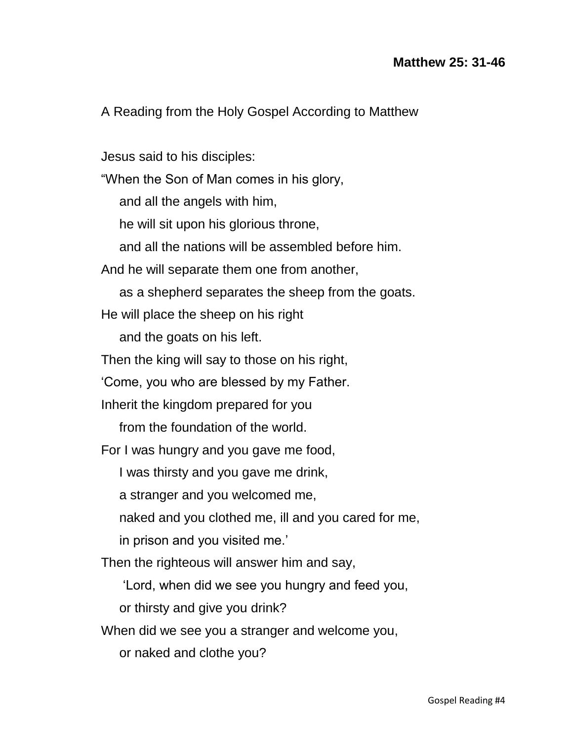A Reading from the Holy Gospel According to Matthew

Jesus said to his disciples: "When the Son of Man comes in his glory, and all the angels with him, he will sit upon his glorious throne, and all the nations will be assembled before him. And he will separate them one from another, as a shepherd separates the sheep from the goats. He will place the sheep on his right and the goats on his left. Then the king will say to those on his right, 'Come, you who are blessed by my Father. Inherit the kingdom prepared for you from the foundation of the world. For I was hungry and you gave me food, I was thirsty and you gave me drink, a stranger and you welcomed me, naked and you clothed me, ill and you cared for me, in prison and you visited me.' Then the righteous will answer him and say, 'Lord, when did we see you hungry and feed you, or thirsty and give you drink? When did we see you a stranger and welcome you,

or naked and clothe you?